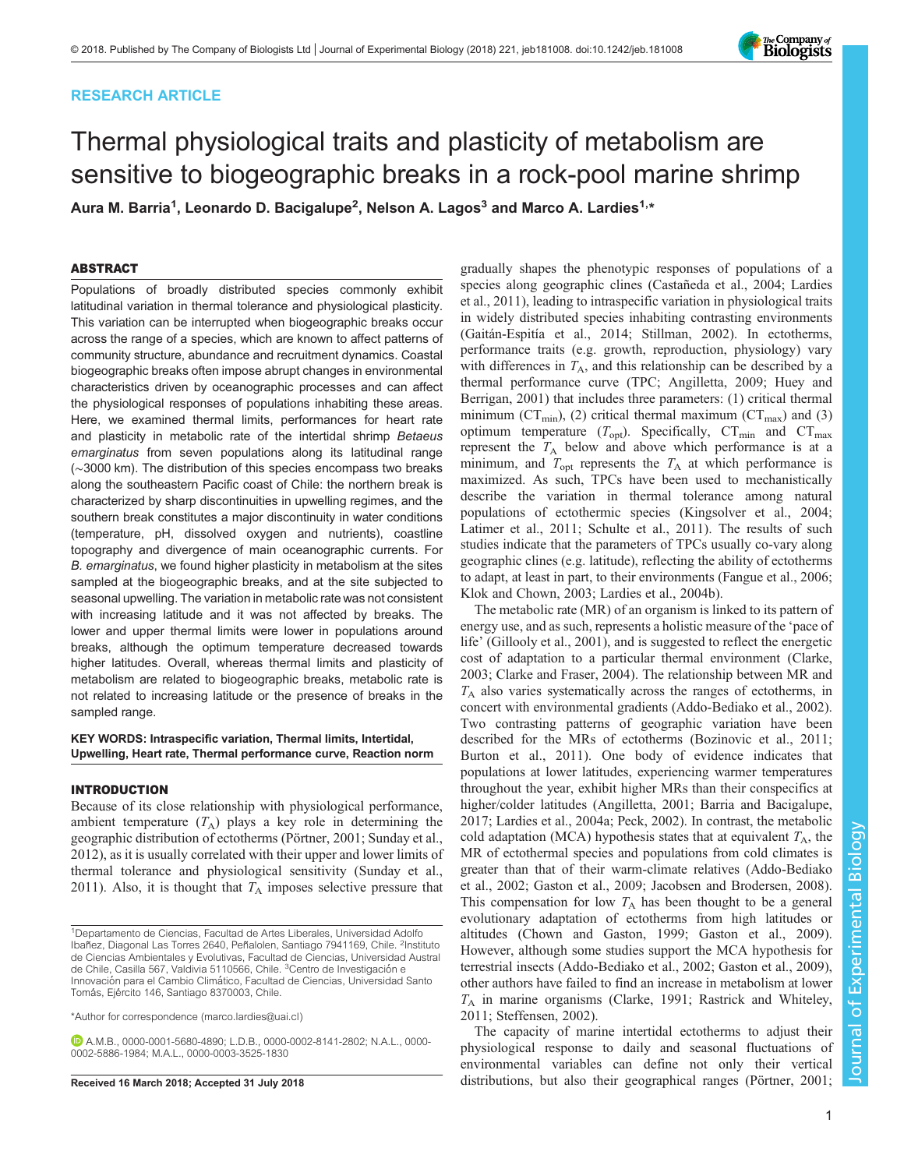# RESEARCH ARTICLE

# Thermal physiological traits and plasticity of metabolism are sensitive to biogeographic breaks in a rock-pool marine shrimp

Aura M. Barria<sup>1</sup>, Leonardo D. Bacigalupe<sup>2</sup>, Nelson A. Lagos<sup>3</sup> and Marco A. Lardies<sup>1,</sup>\*

# ABSTRACT

Populations of broadly distributed species commonly exhibit latitudinal variation in thermal tolerance and physiological plasticity. This variation can be interrupted when biogeographic breaks occur across the range of a species, which are known to affect patterns of community structure, abundance and recruitment dynamics. Coastal biogeographic breaks often impose abrupt changes in environmental characteristics driven by oceanographic processes and can affect the physiological responses of populations inhabiting these areas. Here, we examined thermal limits, performances for heart rate and plasticity in metabolic rate of the intertidal shrimp Betaeus emarginatus from seven populations along its latitudinal range (∼3000 km). The distribution of this species encompass two breaks along the southeastern Pacific coast of Chile: the northern break is characterized by sharp discontinuities in upwelling regimes, and the southern break constitutes a major discontinuity in water conditions (temperature, pH, dissolved oxygen and nutrients), coastline topography and divergence of main oceanographic currents. For B. emarginatus, we found higher plasticity in metabolism at the sites sampled at the biogeographic breaks, and at the site subjected to seasonal upwelling. The variation in metabolic rate was not consistent with increasing latitude and it was not affected by breaks. The lower and upper thermal limits were lower in populations around breaks, although the optimum temperature decreased towards higher latitudes. Overall, whereas thermal limits and plasticity of metabolism are related to biogeographic breaks, metabolic rate is not related to increasing latitude or the presence of breaks in the sampled range.

KEY WORDS: Intraspecific variation, Thermal limits, Intertidal, Upwelling, Heart rate, Thermal performance curve, Reaction norm

## INTRODUCTION

Because of its close relationship with physiological performance, ambient temperature  $(T_A)$  plays a key role in determining the geographic distribution of ectotherms ([Pörtner, 2001; Sunday et al.,](#page-9-0) [2012](#page-9-0)), as it is usually correlated with their upper and lower limits of thermal tolerance and physiological sensitivity [\(Sunday et al.,](#page-9-0) [2011](#page-9-0)). Also, it is thought that  $T_A$  imposes selective pressure that

\*Author for correspondence [\(marco.lardies@uai.cl](mailto:marco.lardies@uai.cl))

A.M.B., [0000-0001-5680-4890;](http://orcid.org/0000-0001-5680-4890) L.D.B., [0000-0002-8141-2802](http://orcid.org/0000-0002-8141-2802); N.A.L., [0000-](http://orcid.org/0000-0002-5886-1984) [0002-5886-1984;](http://orcid.org/0000-0002-5886-1984) M.A.L., [0000-0003-3525-1830](http://orcid.org/0000-0003-3525-1830)

gradually shapes the phenotypic responses of populations of a species along geographic clines [\(Castañeda et al., 2004](#page-8-0); [Lardies](#page-8-0) [et al., 2011](#page-8-0)), leading to intraspecific variation in physiological traits in widely distributed species inhabiting contrasting environments [\(Gaitán-Espitía et al., 2014;](#page-8-0) [Stillman, 2002](#page-9-0)). In ectotherms, performance traits (e.g. growth, reproduction, physiology) vary with differences in  $T_A$ , and this relationship can be described by a thermal performance curve (TPC; [Angilletta, 2009](#page-7-0); [Huey and](#page-8-0) [Berrigan, 2001](#page-8-0)) that includes three parameters: (1) critical thermal minimum ( $CT_{min}$ ), (2) critical thermal maximum ( $CT_{max}$ ) and (3) optimum temperature  $(T_{\text{opt}})$ . Specifically,  $CT_{\text{min}}$  and  $CT_{\text{max}}$ represent the  $T_A$  below and above which performance is at a minimum, and  $T_{\text{opt}}$  represents the  $T_A$  at which performance is maximized. As such, TPCs have been used to mechanistically describe the variation in thermal tolerance among natural populations of ectothermic species ([Kingsolver et al., 2004](#page-8-0); [Latimer et al., 2011;](#page-8-0) [Schulte et al., 2011](#page-9-0)). The results of such studies indicate that the parameters of TPCs usually co-vary along geographic clines (e.g. latitude), reflecting the ability of ectotherms to adapt, at least in part, to their environments [\(Fangue et al., 2006](#page-8-0); [Klok and Chown, 2003](#page-8-0); [Lardies et al., 2004b\)](#page-8-0).

The metabolic rate (MR) of an organism is linked to its pattern of energy use, and as such, represents a holistic measure of the 'pace of life' ([Gillooly et al., 2001](#page-8-0)), and is suggested to reflect the energetic cost of adaptation to a particular thermal environment ([Clarke,](#page-8-0) [2003; Clarke and Fraser, 2004](#page-8-0)). The relationship between MR and  $T_A$  also varies systematically across the ranges of ectotherms, in concert with environmental gradients [\(Addo-Bediako et al., 2002\)](#page-7-0). Two contrasting patterns of geographic variation have been described for the MRs of ectotherms ([Bozinovic et al., 2011](#page-7-0); [Burton et al., 2011\)](#page-8-0). One body of evidence indicates that populations at lower latitudes, experiencing warmer temperatures throughout the year, exhibit higher MRs than their conspecifics at higher/colder latitudes ([Angilletta, 2001; Barria and Bacigalupe,](#page-7-0) [2017;](#page-7-0) [Lardies et al., 2004a](#page-8-0); [Peck, 2002](#page-9-0)). In contrast, the metabolic cold adaptation (MCA) hypothesis states that at equivalent  $T_A$ , the MR of ectothermal species and populations from cold climates is greater than that of their warm-climate relatives [\(Addo-Bediako](#page-7-0) [et al., 2002;](#page-7-0) [Gaston et al., 2009](#page-8-0); [Jacobsen and Brodersen, 2008\)](#page-8-0). This compensation for low  $T_A$  has been thought to be a general evolutionary adaptation of ectotherms from high latitudes or altitudes ([Chown and Gaston, 1999; Gaston et al., 2009\)](#page-8-0). However, although some studies support the MCA hypothesis for terrestrial insects [\(Addo-Bediako et al., 2002;](#page-7-0) [Gaston et al., 2009\)](#page-8-0), other authors have failed to find an increase in metabolism at lower  $T_A$  in marine organisms ([Clarke, 1991](#page-8-0); [Rastrick and Whiteley,](#page-9-0) [2011; Steffensen, 2002\)](#page-9-0).

The capacity of marine intertidal ectotherms to adjust their physiological response to daily and seasonal fluctuations of environmental variables can define not only their vertical Received 16 March 2018; Accepted 31 July 2018 distributions, but also their geographical ranges ([Pörtner, 2001](#page-9-0);



<sup>&</sup>lt;sup>1</sup>Departamento de Ciencias, Facultad de Artes Liberales, Universidad Adolfo Ibañez, Diagonal Las Torres 2640, Peñalolen, Santiago 7941169, Chile. <sup>2</sup>Instituto de Ciencias Ambientales y Evolutivas, Facultad de Ciencias, Universidad Austral de Chile, Casilla 567, Valdivia 5110566, Chile. <sup>3</sup>Centro de Investigación e Innovación para el Cambio Climático, Facultad de Ciencias, Universidad Santo Tomás, Ejército 146, Santiago 8370003, Chile.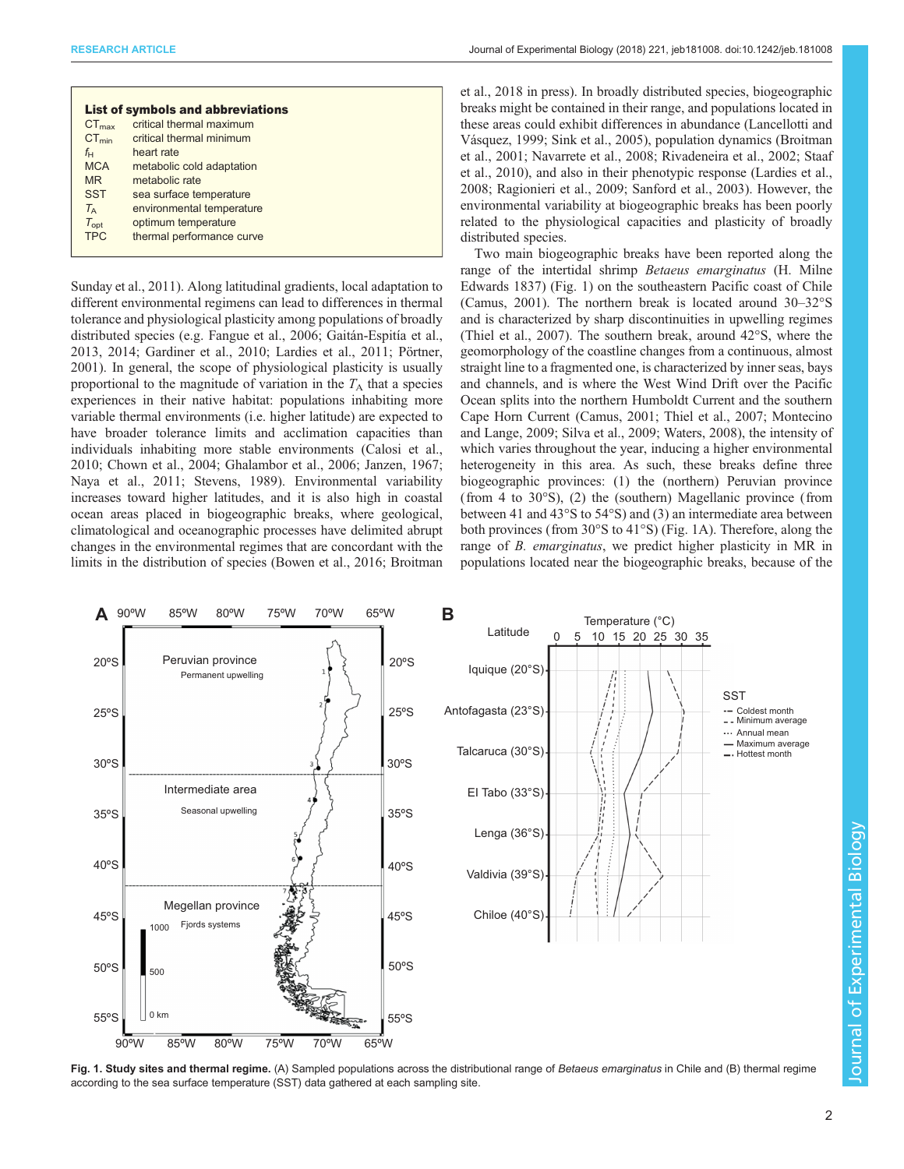|  |  |  |  | Journal of Experimental Biology (2018) 221, jeb181008. doi:10.1242/jeb.181008 |
|--|--|--|--|-------------------------------------------------------------------------------|
|--|--|--|--|-------------------------------------------------------------------------------|

<span id="page-1-0"></span>

|                   | <b>List of symbols and abbreviations</b> |
|-------------------|------------------------------------------|
| $CT_{\text{max}}$ | critical thermal maximum                 |
| $CT_{min}$        | critical thermal minimum                 |
| $f_{\mathsf{H}}$  | heart rate                               |
| <b>MCA</b>        | metabolic cold adaptation                |
| <b>MR</b>         | metabolic rate                           |
| <b>SST</b>        | sea surface temperature                  |
| $T_{\rm A}$       | environmental temperature                |
| $T_{opt}$         | optimum temperature                      |
| <b>TPC</b>        | thermal performance curve                |
|                   |                                          |

[Sunday et al., 2011](#page-9-0)). Along latitudinal gradients, local adaptation to different environmental regimens can lead to differences in thermal tolerance and physiological plasticity among populations of broadly distributed species (e.g. [Fangue et al., 2006; Gaitán-Espitía et al.,](#page-8-0) [2013](#page-8-0), [2014](#page-8-0); [Gardiner et al., 2010](#page-8-0); [Lardies et al., 2011;](#page-8-0) [Pörtner,](#page-9-0) [2001](#page-9-0)). In general, the scope of physiological plasticity is usually proportional to the magnitude of variation in the  $T_A$  that a species experiences in their native habitat: populations inhabiting more variable thermal environments (i.e. higher latitude) are expected to have broader tolerance limits and acclimation capacities than individuals inhabiting more stable environments ([Calosi et al.,](#page-8-0) [2010](#page-8-0); [Chown et al., 2004; Ghalambor et al., 2006](#page-8-0); [Janzen, 1967](#page-8-0); [Naya et al., 2011;](#page-8-0) [Stevens, 1989](#page-9-0)). Environmental variability increases toward higher latitudes, and it is also high in coastal ocean areas placed in biogeographic breaks, where geological, climatological and oceanographic processes have delimited abrupt changes in the environmental regimes that are concordant with the limits in the distribution of species ([Bowen et al., 2016](#page-7-0); [Broitman](#page-8-0) [et al., 2018 in press\)](#page-8-0). In broadly distributed species, biogeographic breaks might be contained in their range, and populations located in these areas could exhibit differences in abundance [\(Lancellotti and](#page-8-0) [Vásquez, 1999;](#page-8-0) [Sink et al., 2005\)](#page-9-0), population dynamics ([Broitman](#page-8-0) [et al., 2001; Navarrete et al., 2008;](#page-8-0) [Rivadeneira et al., 2002; Staaf](#page-9-0) [et al., 2010](#page-9-0)), and also in their phenotypic response ([Lardies et al.,](#page-8-0) [2008;](#page-8-0) [Ragionieri et al., 2009; Sanford et al., 2003\)](#page-9-0). However, the environmental variability at biogeographic breaks has been poorly related to the physiological capacities and plasticity of broadly distributed species.

Two main biogeographic breaks have been reported along the range of the intertidal shrimp Betaeus emarginatus (H. Milne Edwards 1837) (Fig. 1) on the southeastern Pacific coast of Chile [\(Camus, 2001](#page-8-0)). The northern break is located around 30–32°S and is characterized by sharp discontinuities in upwelling regimes [\(Thiel et al., 2007\)](#page-9-0). The southern break, around 42°S, where the geomorphology of the coastline changes from a continuous, almost straight line to a fragmented one, is characterized by inner seas, bays and channels, and is where the West Wind Drift over the Pacific Ocean splits into the northern Humboldt Current and the southern Cape Horn Current ([Camus, 2001](#page-8-0); [Thiel et al., 2007](#page-9-0); [Montecino](#page-8-0) [and Lange, 2009;](#page-8-0) [Silva et al., 2009; Waters, 2008\)](#page-9-0), the intensity of which varies throughout the year, inducing a higher environmental heterogeneity in this area. As such, these breaks define three biogeographic provinces: (1) the (northern) Peruvian province (from 4 to 30°S), (2) the (southern) Magellanic province (from between 41 and 43°S to 54°S) and (3) an intermediate area between both provinces (from 30°S to 41°S) (Fig. 1A). Therefore, along the range of B. emarginatus, we predict higher plasticity in MR in populations located near the biogeographic breaks, because of the



Fig. 1. Study sites and thermal regime. (A) Sampled populations across the distributional range of Betaeus emarginatus in Chile and (B) thermal regime according to the sea surface temperature (SST) data gathered at each sampling site.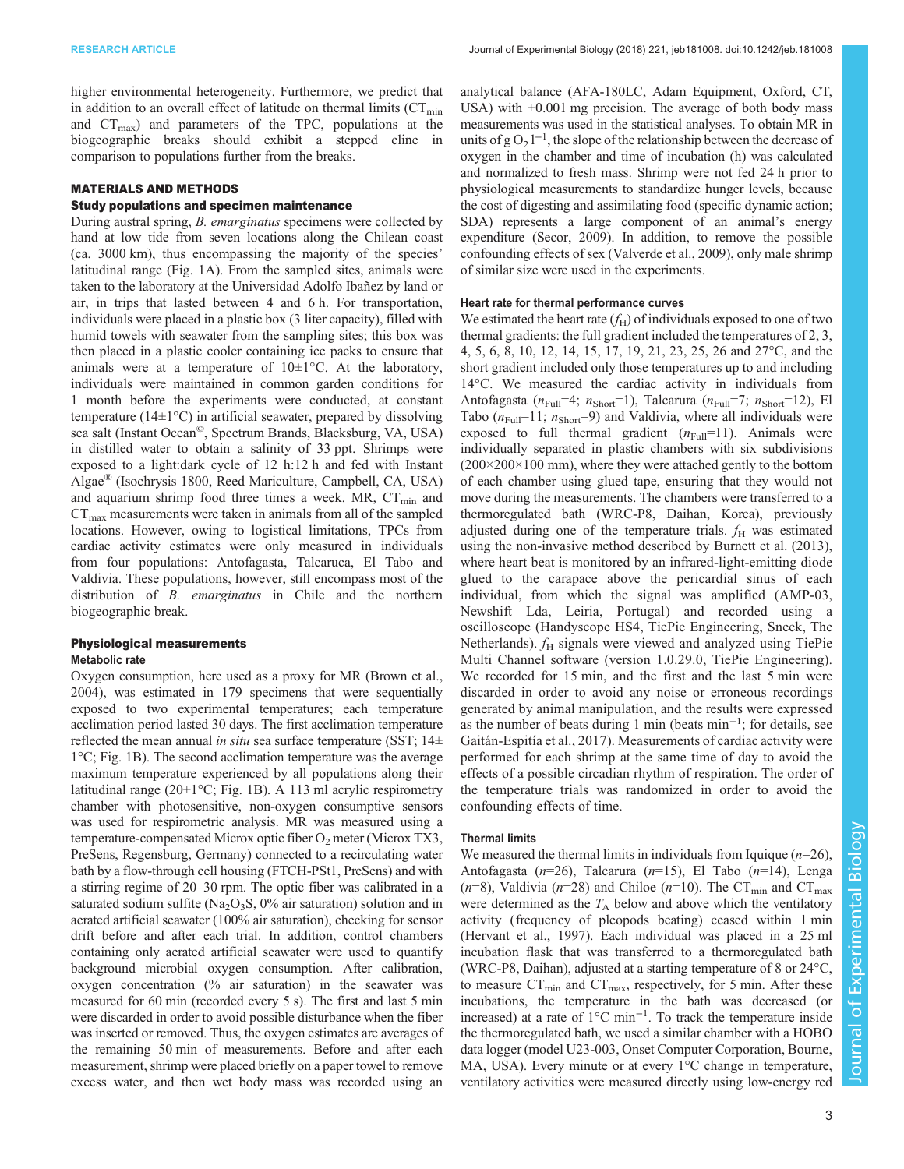higher environmental heterogeneity. Furthermore, we predict that in addition to an overall effect of latitude on thermal limits  $(CT_{min})$ and  $CT_{\text{max}}$ ) and parameters of the TPC, populations at the biogeographic breaks should exhibit a stepped cline in comparison to populations further from the breaks.

## MATERIALS AND METHODS

## Study populations and specimen maintenance

During austral spring, *B. emarginatus* specimens were collected by hand at low tide from seven locations along the Chilean coast (ca. 3000 km), thus encompassing the majority of the species' latitudinal range [\(Fig. 1](#page-1-0)A). From the sampled sites, animals were taken to the laboratory at the Universidad Adolfo Ibañez by land or air, in trips that lasted between 4 and 6 h. For transportation, individuals were placed in a plastic box (3 liter capacity), filled with humid towels with seawater from the sampling sites; this box was then placed in a plastic cooler containing ice packs to ensure that animals were at a temperature of 10±1°C. At the laboratory, individuals were maintained in common garden conditions for 1 month before the experiments were conducted, at constant temperature ( $14\pm1$ °C) in artificial seawater, prepared by dissolving sea salt (Instant Ocean©, Spectrum Brands, Blacksburg, VA, USA) in distilled water to obtain a salinity of 33 ppt. Shrimps were exposed to a light:dark cycle of 12 h:12 h and fed with Instant Algae® (Isochrysis 1800, Reed Mariculture, Campbell, CA, USA) and aquarium shrimp food three times a week. MR,  $CT_{min}$  and  $CT<sub>max</sub>$  measurements were taken in animals from all of the sampled locations. However, owing to logistical limitations, TPCs from cardiac activity estimates were only measured in individuals from four populations: Antofagasta, Talcaruca, El Tabo and Valdivia. These populations, however, still encompass most of the distribution of *B. emarginatus* in Chile and the northern biogeographic break.

# Physiological measurements Metabolic rate

Oxygen consumption, here used as a proxy for MR ([Brown et al.,](#page-8-0) [2004\)](#page-8-0), was estimated in 179 specimens that were sequentially exposed to two experimental temperatures; each temperature acclimation period lasted 30 days. The first acclimation temperature reflected the mean annual in situ sea surface temperature (SST;  $14\pm$ 1°C; [Fig. 1B](#page-1-0)). The second acclimation temperature was the average maximum temperature experienced by all populations along their latitudinal range (20 $\pm$ 1°C; [Fig. 1B](#page-1-0)). A 113 ml acrylic respirometry chamber with photosensitive, non-oxygen consumptive sensors was used for respirometric analysis. MR was measured using a temperature-compensated Microx optic fiber  $O_2$  meter (Microx TX3, PreSens, Regensburg, Germany) connected to a recirculating water bath by a flow-through cell housing (FTCH-PSt1, PreSens) and with a stirring regime of 20–30 rpm. The optic fiber was calibrated in a saturated sodium sulfite (Na<sub>2</sub>O<sub>3</sub>S,  $0\%$  air saturation) solution and in aerated artificial seawater (100% air saturation), checking for sensor drift before and after each trial. In addition, control chambers containing only aerated artificial seawater were used to quantify background microbial oxygen consumption. After calibration, oxygen concentration (% air saturation) in the seawater was measured for 60 min (recorded every 5 s). The first and last 5 min were discarded in order to avoid possible disturbance when the fiber was inserted or removed. Thus, the oxygen estimates are averages of the remaining 50 min of measurements. Before and after each measurement, shrimp were placed briefly on a paper towel to remove excess water, and then wet body mass was recorded using an

analytical balance (AFA-180LC, Adam Equipment, Oxford, CT, USA) with  $\pm 0.001$  mg precision. The average of both body mass measurements was used in the statistical analyses. To obtain MR in units of  $g O_2 1^{-1}$ , the slope of the relationship between the decrease of oxygen in the chamber and time of incubation (h) was calculated and normalized to fresh mass. Shrimp were not fed 24 h prior to physiological measurements to standardize hunger levels, because the cost of digesting and assimilating food (specific dynamic action; SDA) represents a large component of an animal's energy expenditure ([Secor, 2009](#page-9-0)). In addition, to remove the possible confounding effects of sex [\(Valverde et al., 2009\)](#page-9-0), only male shrimp of similar size were used in the experiments.

#### Heart rate for thermal performance curves

We estimated the heart rate  $(f_H)$  of individuals exposed to one of two thermal gradients: the full gradient included the temperatures of 2, 3, 4, 5, 6, 8, 10, 12, 14, 15, 17, 19, 21, 23, 25, 26 and 27°C, and the short gradient included only those temperatures up to and including 14°C. We measured the cardiac activity in individuals from Antofagasta ( $n_{\text{Full}}=4$ ;  $n_{\text{Short}}=1$ ), Talcarura ( $n_{\text{Full}}=7$ ;  $n_{\text{Short}}=12$ ), El Tabo  $(n_{\text{Full}}=11; n_{\text{Short}}=9)$  and Valdivia, where all individuals were exposed to full thermal gradient  $(n_{Full}=11)$ . Animals were individually separated in plastic chambers with six subdivisions  $(200\times200\times100$  mm), where they were attached gently to the bottom of each chamber using glued tape, ensuring that they would not move during the measurements. The chambers were transferred to a thermoregulated bath (WRC-P8, Daihan, Korea), previously adjusted during one of the temperature trials.  $f<sub>H</sub>$  was estimated using the non-invasive method described by [Burnett et al. \(2013\),](#page-8-0) where heart beat is monitored by an infrared-light-emitting diode glued to the carapace above the pericardial sinus of each individual, from which the signal was amplified (AMP-03, Newshift Lda, Leiria, Portugal) and recorded using a oscilloscope (Handyscope HS4, TiePie Engineering, Sneek, The Netherlands).  $f_H$  signals were viewed and analyzed using TiePie Multi Channel software (version 1.0.29.0, TiePie Engineering). We recorded for 15 min, and the first and the last 5 min were discarded in order to avoid any noise or erroneous recordings generated by animal manipulation, and the results were expressed as the number of beats during 1 min (beats min−<sup>1</sup> ; for details, see [Gaitán-Espitía et al., 2017](#page-8-0)). Measurements of cardiac activity were performed for each shrimp at the same time of day to avoid the effects of a possible circadian rhythm of respiration. The order of the temperature trials was randomized in order to avoid the confounding effects of time.

#### Thermal limits

We measured the thermal limits in individuals from Iquique  $(n=26)$ , Antofagasta ( $n=26$ ), Talcarura ( $n=15$ ), El Tabo ( $n=14$ ), Lenga  $(n=8)$ , Valdivia (n=28) and Chiloe (n=10). The CT<sub>min</sub> and CT<sub>max</sub> were determined as the  $T_A$  below and above which the ventilatory activity (frequency of pleopods beating) ceased within 1 min [\(Hervant et al., 1997\)](#page-8-0). Each individual was placed in a 25 ml incubation flask that was transferred to a thermoregulated bath (WRC-P8, Daihan), adjusted at a starting temperature of 8 or 24°C, to measure  $CT_{min}$  and  $CT_{max}$ , respectively, for 5 min. After these incubations, the temperature in the bath was decreased (or increased) at a rate of 1°C min−<sup>1</sup> . To track the temperature inside the thermoregulated bath, we used a similar chamber with a HOBO data logger (model U23-003, Onset Computer Corporation, Bourne, MA, USA). Every minute or at every 1°C change in temperature, ventilatory activities were measured directly using low-energy red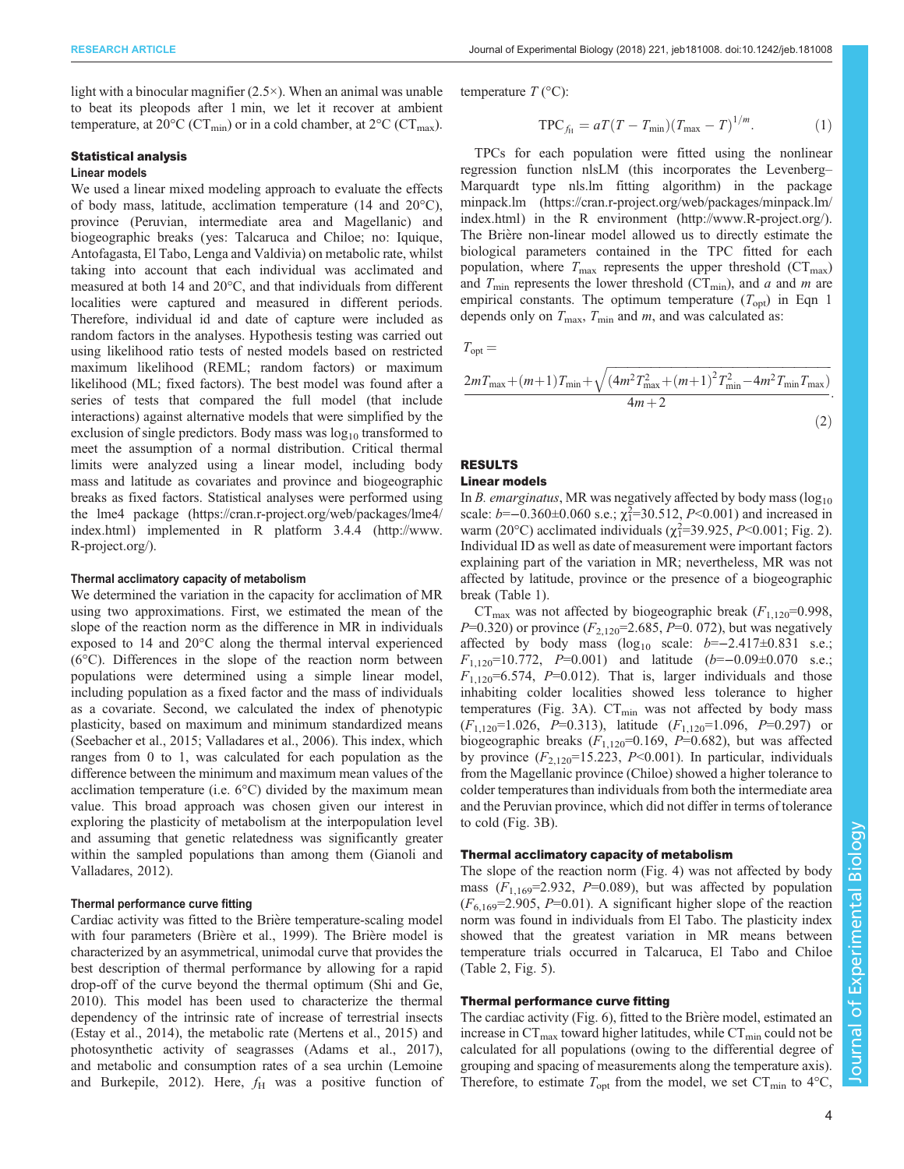light with a binocular magnifier  $(2.5\times)$ . When an animal was unable to beat its pleopods after 1 min, we let it recover at ambient temperature, at 20 $^{\circ}$ C (CT<sub>min</sub>) or in a cold chamber, at 2 $^{\circ}$ C (CT<sub>max</sub>).

#### Statistical analysis

## Linear models

We used a linear mixed modeling approach to evaluate the effects of body mass, latitude, acclimation temperature (14 and 20°C), province (Peruvian, intermediate area and Magellanic) and biogeographic breaks (yes: Talcaruca and Chiloe; no: Iquique, Antofagasta, El Tabo, Lenga and Valdivia) on metabolic rate, whilst taking into account that each individual was acclimated and measured at both 14 and 20°C, and that individuals from different localities were captured and measured in different periods. Therefore, individual id and date of capture were included as random factors in the analyses. Hypothesis testing was carried out using likelihood ratio tests of nested models based on restricted maximum likelihood (REML; random factors) or maximum likelihood (ML; fixed factors). The best model was found after a series of tests that compared the full model (that include interactions) against alternative models that were simplified by the exclusion of single predictors. Body mass was  $log_{10}$  transformed to meet the assumption of a normal distribution. Critical thermal limits were analyzed using a linear model, including body mass and latitude as covariates and province and biogeographic breaks as fixed factors. Statistical analyses were performed using the lme4 package [\(https://cran.r-project.org/web/packages/lme4/](https://cran.r-project.org/web/packages/lme4/index.html) [index.html](https://cran.r-project.org/web/packages/lme4/index.html)) implemented in R platform 3.4.4 ([http://www.](http://www.R-project.org/) [R-project.org/\)](http://www.R-project.org/).

#### Thermal acclimatory capacity of metabolism

We determined the variation in the capacity for acclimation of MR using two approximations. First, we estimated the mean of the slope of the reaction norm as the difference in MR in individuals exposed to 14 and 20°C along the thermal interval experienced (6°C). Differences in the slope of the reaction norm between populations were determined using a simple linear model, including population as a fixed factor and the mass of individuals as a covariate. Second, we calculated the index of phenotypic plasticity, based on maximum and minimum standardized means [\(Seebacher et al., 2015](#page-9-0); [Valladares et al., 2006\)](#page-9-0). This index, which ranges from 0 to 1, was calculated for each population as the difference between the minimum and maximum mean values of the acclimation temperature (i.e. 6°C) divided by the maximum mean value. This broad approach was chosen given our interest in exploring the plasticity of metabolism at the interpopulation level and assuming that genetic relatedness was significantly greater within the sampled populations than among them ([Gianoli and](#page-8-0) [Valladares, 2012](#page-8-0)).

#### Thermal performance curve fitting

Cardiac activity was fitted to the Brière temperature-scaling model with four parameters (Brière et al., 1999). The Brière model is characterized by an asymmetrical, unimodal curve that provides the best description of thermal performance by allowing for a rapid drop-off of the curve beyond the thermal optimum [\(Shi and Ge,](#page-9-0) [2010](#page-9-0)). This model has been used to characterize the thermal dependency of the intrinsic rate of increase of terrestrial insects [\(Estay et al., 2014](#page-8-0)), the metabolic rate [\(Mertens et al., 2015\)](#page-8-0) and photosynthetic activity of seagrasses [\(Adams et al., 2017\)](#page-7-0), and metabolic and consumption rates of a sea urchin ([Lemoine](#page-8-0) [and Burkepile, 2012](#page-8-0)). Here,  $f_H$  was a positive function of temperature  $T$  ( $\rm{°C}$ ):

$$
TPC_{f_{\rm H}} = aT(T - T_{\rm min})(T_{\rm max} - T)^{1/m}.
$$
 (1)

TPCs for each population were fitted using the nonlinear regression function nlsLM (this incorporates the Levenberg– Marquardt type nls.lm fitting algorithm) in the package minpack.lm ([https://cran.r-project.org/web/packages/minpack.lm/](https://cran.r-project.org/web/packages/minpack.lm/index.html) [index.html](https://cran.r-project.org/web/packages/minpack.lm/index.html)) in the R environment ([http://www.R-project.org/\)](http://www.R-project.org/). The Brière non-linear model allowed us to directly estimate the biological parameters contained in the TPC fitted for each population, where  $T_{\text{max}}$  represents the upper threshold ( $CT_{\text{max}}$ ) and  $T_{\text{min}}$  represents the lower threshold (CT<sub>min</sub>), and a and m are empirical constants. The optimum temperature  $(T_{\text{opt}})$  in Eqn 1 depends only on  $T_{\text{max}}$ ,  $T_{\text{min}}$  and  $m$ , and was calculated as:

 $T_{\text{opt}} =$ 

$$
\frac{2m_{\text{max}} + (m+1)T_{\text{min}} + \sqrt{(4m^2 T_{\text{max}}^2 + (m+1)^2 T_{\text{min}}^2 - 4m^2 T_{\text{min}} T_{\text{max}})}}{4m + 2}.
$$
\n(2)

## RESULTS

#### Linear models

In B. emarginatus, MR was negatively affected by body mass  $(\log_{10}$ scale: b=–0.360±0.060 s.e.;  $\chi_1^2 = 30.512$ , P<0.001) and increased in<br>warm (20°C) acclimated individuals ( $\chi_2^2 = 39.925$ , P<0.001; Fig. 2) warm (20°C) acclimated individuals  $(\chi_1^2=39.925, P<0.001; Fig. 2)$  $(\chi_1^2=39.925, P<0.001; Fig. 2)$ .<br>Individual ID as well as date of measurement were important factors Individual ID as well as date of measurement were important factors explaining part of the variation in MR; nevertheless, MR was not affected by latitude, province or the presence of a biogeographic break [\(Table 1](#page-4-0)).

 $CT_{\text{max}}$  was not affected by biogeographic break  $(F_{1,120}=0.998,$ P=0.320) or province  $(F_{2,120} = 2.685, P = 0.072)$ , but was negatively affected by body mass  $(log_{10}$  scale:  $b=-2.417\pm0.831$  s.e.; F<sub>1,120</sub>=10.772, P=0.001) and latitude (b=−0.09±0.070 s.e.;  $F_{1,120}$ =6.574, P=0.012). That is, larger individuals and those inhabiting colder localities showed less tolerance to higher temperatures ([Fig. 3](#page-5-0)A).  $CT_{min}$  was not affected by body mass  $(F_{1,120}=1.026, P=0.313)$ , latitude  $(F_{1,120}=1.096, P=0.297)$  or biogeographic breaks  $(F_{1,120} = 0.169, P = 0.682)$ , but was affected by province  $(F_{2,120} = 15.223, P \le 0.001)$ . In particular, individuals from the Magellanic province (Chiloe) showed a higher tolerance to colder temperatures than individuals from both the intermediate area and the Peruvian province, which did not differ in terms of tolerance to cold ([Fig. 3](#page-5-0)B).

## Thermal acclimatory capacity of metabolism

The slope of the reaction norm [\(Fig. 4](#page-5-0)) was not affected by body mass  $(F_{1,169}=2.932, P=0.089)$ , but was affected by population  $(F_{6,169}=2.905, P=0.01)$ . A significant higher slope of the reaction norm was found in individuals from El Tabo. The plasticity index showed that the greatest variation in MR means between temperature trials occurred in Talcaruca, El Tabo and Chiloe [\(Table 2, Fig. 5](#page-6-0)).

#### Thermal performance curve fitting

The cardiac activity ([Fig. 6](#page-7-0)), fitted to the Briere model, estimated an increase in  $CT_{\text{max}}$  toward higher latitudes, while  $CT_{\text{min}}$  could not be calculated for all populations (owing to the differential degree of grouping and spacing of measurements along the temperature axis). Therefore, to estimate  $T_{\text{opt}}$  from the model, we set  $CT_{\text{min}}$  to 4°C,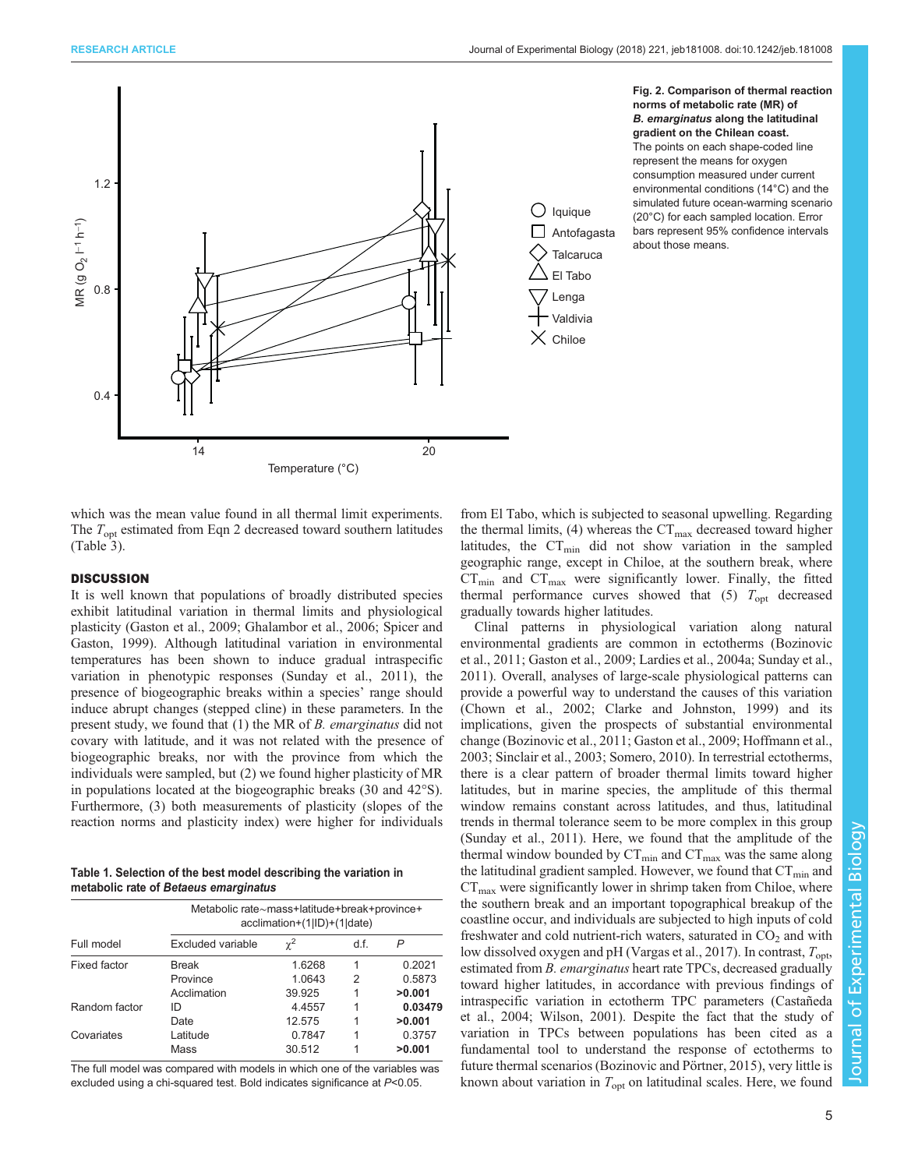<span id="page-4-0"></span>

Fig. 2. Comparison of thermal reaction norms of metabolic rate (MR) of B. emarginatus along the latitudinal gradient on the Chilean coast. The points on each shape-coded line represent the means for oxygen consumption measured under current environmental conditions (14°C) and the simulated future ocean-warming scenario (20°C) for each sampled location. Error bars represent 95% confidence intervals about those means.

which was the mean value found in all thermal limit experiments. The  $T_{opt}$  estimated from Eqn 2 decreased toward southern latitudes [\(Table 3\)](#page-7-0).

# DISCUSSION

It is well known that populations of broadly distributed species exhibit latitudinal variation in thermal limits and physiological plasticity [\(Gaston et al., 2009; Ghalambor et al., 2006](#page-8-0); [Spicer and](#page-9-0) [Gaston, 1999\)](#page-9-0). Although latitudinal variation in environmental temperatures has been shown to induce gradual intraspecific variation in phenotypic responses ([Sunday et al., 2011](#page-9-0)), the presence of biogeographic breaks within a species' range should induce abrupt changes (stepped cline) in these parameters. In the present study, we found that (1) the MR of B. emarginatus did not covary with latitude, and it was not related with the presence of biogeographic breaks, nor with the province from which the individuals were sampled, but (2) we found higher plasticity of MR in populations located at the biogeographic breaks (30 and 42°S). Furthermore, (3) both measurements of plasticity (slopes of the reaction norms and plasticity index) were higher for individuals

Table 1. Selection of the best model describing the variation in metabolic rate of Betaeus emarginatus

| Full model          | Metabolic rate~mass+latitude+break+province+<br>acclimation+(1 ID)+(1 date) |          |      |         |
|---------------------|-----------------------------------------------------------------------------|----------|------|---------|
|                     | <b>Excluded variable</b>                                                    | $\chi^2$ | d.f. | P       |
| <b>Fixed factor</b> | <b>Break</b>                                                                | 1.6268   | 1    | 0.2021  |
|                     | Province                                                                    | 1.0643   | 2    | 0.5873  |
|                     | Acclimation                                                                 | 39.925   | 1    | >0.001  |
| Random factor       | ID                                                                          | 4.4557   | 1    | 0.03479 |
|                     | Date                                                                        | 12.575   |      | >0.001  |
| Covariates          | Latitude                                                                    | 0.7847   | 1    | 0.3757  |
|                     | Mass                                                                        | 30.512   |      | >0.001  |

The full model was compared with models in which one of the variables was excluded using a chi-squared test. Bold indicates significance at P<0.05.

from El Tabo, which is subjected to seasonal upwelling. Regarding the thermal limits, (4) whereas the  $CT_{\text{max}}$  decreased toward higher latitudes, the  $CT_{min}$  did not show variation in the sampled geographic range, except in Chiloe, at the southern break, where  $CT_{\text{min}}$  and  $CT_{\text{max}}$  were significantly lower. Finally, the fitted thermal performance curves showed that  $(5)$   $T_{opt}$  decreased gradually towards higher latitudes.

Clinal patterns in physiological variation along natural environmental gradients are common in ectotherms [\(Bozinovic](#page-7-0) [et al., 2011](#page-7-0); [Gaston et al., 2009](#page-8-0); [Lardies et al., 2004a;](#page-8-0) [Sunday et al.,](#page-9-0) [2011\)](#page-9-0). Overall, analyses of large-scale physiological patterns can provide a powerful way to understand the causes of this variation [\(Chown et al., 2002; Clarke and Johnston, 1999](#page-8-0)) and its implications, given the prospects of substantial environmental change ([Bozinovic et al., 2011](#page-7-0); [Gaston et al., 2009; Hoffmann et al.,](#page-8-0) [2003;](#page-8-0) [Sinclair et al., 2003](#page-9-0); [Somero, 2010\)](#page-9-0). In terrestrial ectotherms, there is a clear pattern of broader thermal limits toward higher latitudes, but in marine species, the amplitude of this thermal window remains constant across latitudes, and thus, latitudinal trends in thermal tolerance seem to be more complex in this group [\(Sunday et al., 2011\)](#page-9-0). Here, we found that the amplitude of the thermal window bounded by  $CT_{min}$  and  $CT_{max}$  was the same along the latitudinal gradient sampled. However, we found that  $CT_{min}$  and  $CT<sub>max</sub>$  were significantly lower in shrimp taken from Chiloe, where the southern break and an important topographical breakup of the coastline occur, and individuals are subjected to high inputs of cold freshwater and cold nutrient-rich waters, saturated in  $CO<sub>2</sub>$  and with low dissolved oxygen and pH [\(Vargas et al., 2017\)](#page-9-0). In contrast,  $T_{\text{opt}}$ , estimated from *B. emarginatus* heart rate TPCs, decreased gradually toward higher latitudes, in accordance with previous findings of intraspecific variation in ectotherm TPC parameters [\(Castañeda](#page-8-0) [et al., 2004;](#page-8-0) [Wilson, 2001\)](#page-9-0). Despite the fact that the study of variation in TPCs between populations has been cited as a fundamental tool to understand the response of ectotherms to future thermal scenarios [\(Bozinovic and Pörtner, 2015](#page-7-0)), very little is known about variation in  $T_{\text{opt}}$  on latitudinal scales. Here, we found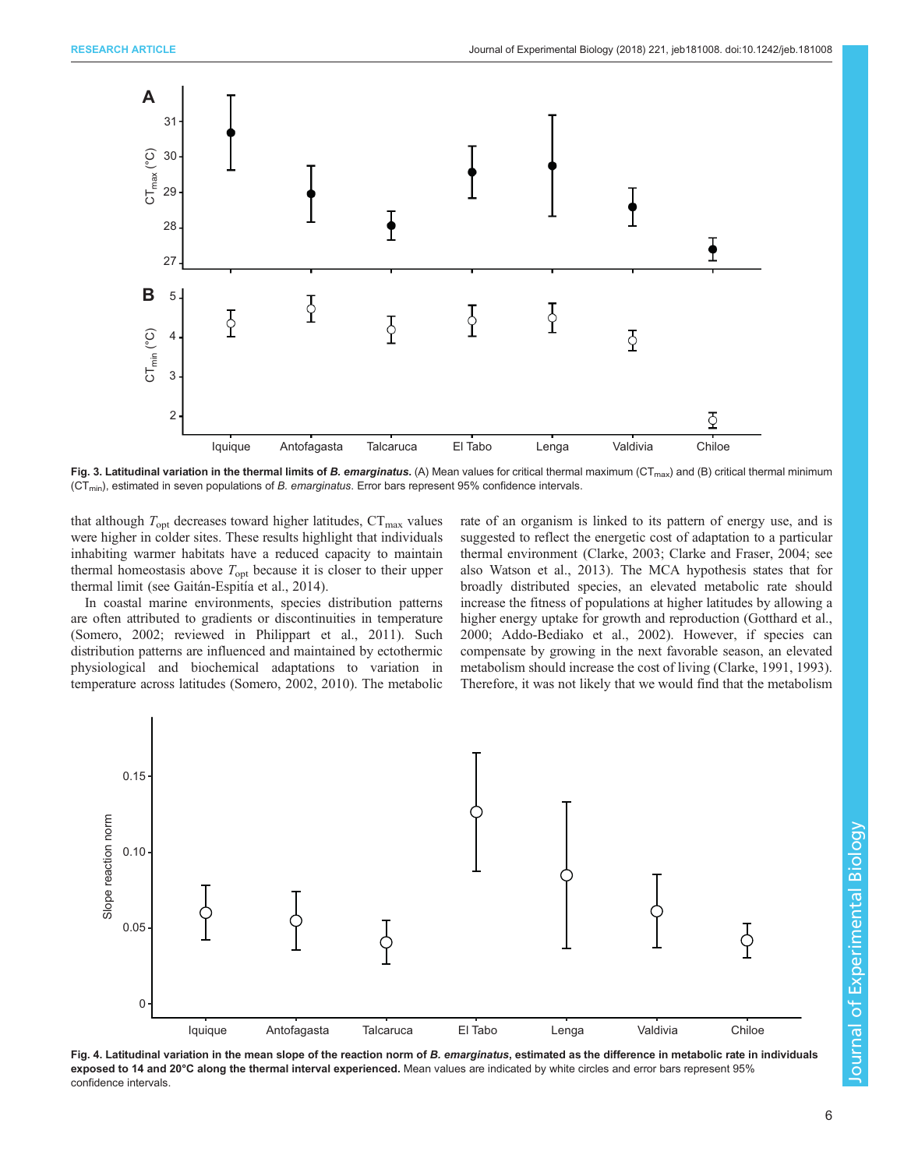<span id="page-5-0"></span>

Fig. 3. Latitudinal variation in the thermal limits of B. emarginatus. (A) Mean values for critical thermal maximum ( $CT_{max}$ ) and (B) critical thermal minimum  $(CT<sub>min</sub>)$ , estimated in seven populations of B. emarginatus. Error bars represent 95% confidence intervals.

that although  $T_{\text{opt}}$  decreases toward higher latitudes,  $CT_{\text{max}}$  values were higher in colder sites. These results highlight that individuals inhabiting warmer habitats have a reduced capacity to maintain thermal homeostasis above  $T_{\text{opt}}$  because it is closer to their upper thermal limit (see [Gaitán-Espitía et al., 2014](#page-8-0)).

In coastal marine environments, species distribution patterns are often attributed to gradients or discontinuities in temperature [\(Somero, 2002;](#page-9-0) reviewed in [Philippart et al., 2011\)](#page-9-0). Such distribution patterns are influenced and maintained by ectothermic physiological and biochemical adaptations to variation in temperature across latitudes ([Somero, 2002](#page-9-0), [2010\)](#page-9-0). The metabolic rate of an organism is linked to its pattern of energy use, and is suggested to reflect the energetic cost of adaptation to a particular thermal environment [\(Clarke, 2003; Clarke and Fraser, 2004](#page-8-0); see also [Watson et al., 2013](#page-9-0)). The MCA hypothesis states that for broadly distributed species, an elevated metabolic rate should increase the fitness of populations at higher latitudes by allowing a higher energy uptake for growth and reproduction ([Gotthard et al.,](#page-8-0) [2000;](#page-8-0) [Addo-Bediako et al., 2002](#page-7-0)). However, if species can compensate by growing in the next favorable season, an elevated metabolism should increase the cost of living [\(Clarke, 1991, 1993\)](#page-8-0). Therefore, it was not likely that we would find that the metabolism



Fig. 4. Latitudinal variation in the mean slope of the reaction norm of B. emarginatus, estimated as the difference in metabolic rate in individuals exposed to 14 and 20°C along the thermal interval experienced. Mean values are indicated by white circles and error bars represent 95% confidence intervals.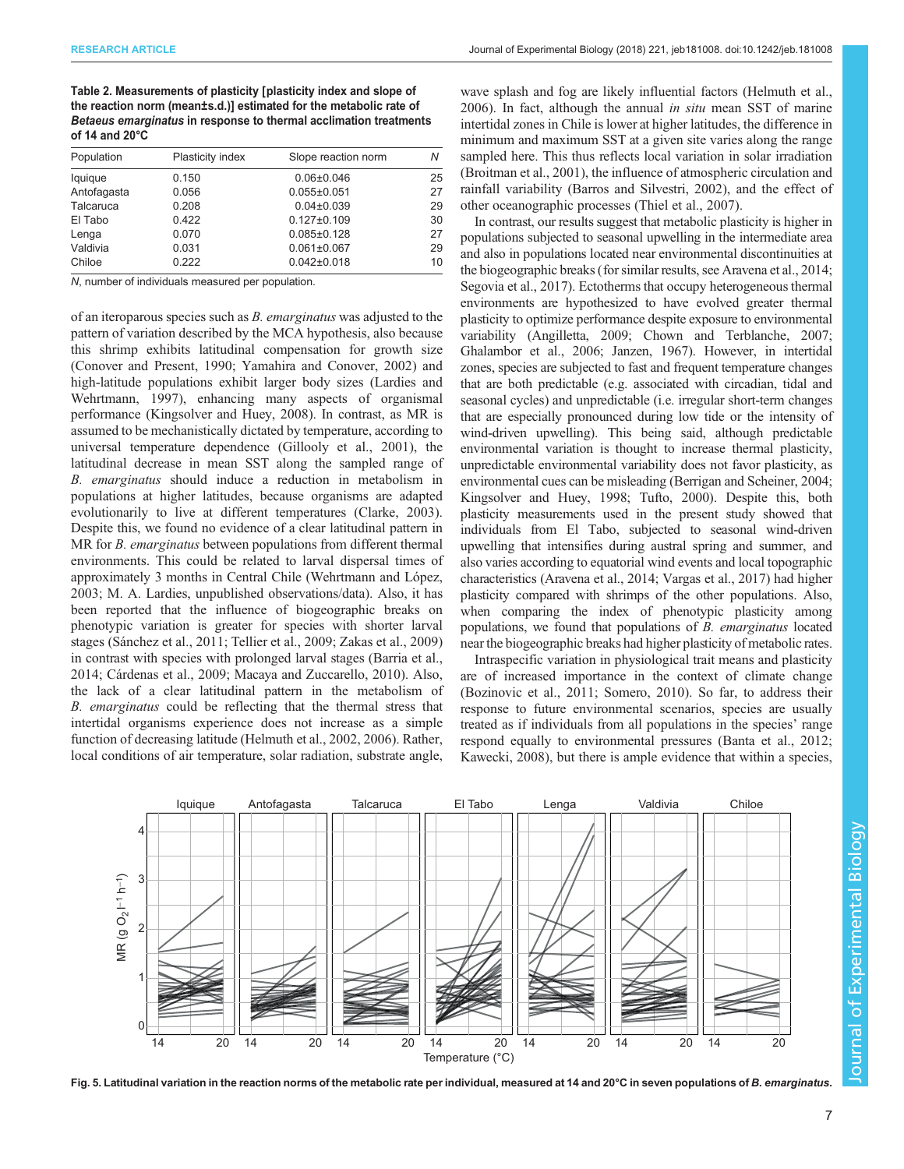<span id="page-6-0"></span>Table 2. Measurements of plasticity [plasticity index and slope of the reaction norm (mean±s.d.)] estimated for the metabolic rate of Betaeus emarginatus in response to thermal acclimation treatments of 14 and 20°C

| Population  | Plasticity index | Slope reaction norm | Ν  |
|-------------|------------------|---------------------|----|
| lquique     | 0.150            | $0.06 \pm 0.046$    | 25 |
| Antofagasta | 0.056            | $0.055 \pm 0.051$   | 27 |
| Talcaruca   | 0.208            | $0.04 \pm 0.039$    | 29 |
| El Tabo     | 0.422            | $0.127 \pm 0.109$   | 30 |
| Lenga       | 0.070            | $0.085 \pm 0.128$   | 27 |
| Valdivia    | 0.031            | $0.061 \pm 0.067$   | 29 |
| Chiloe      | 0.222            | $0.042 \pm 0.018$   | 10 |

N, number of individuals measured per population.

of an iteroparous species such as  $B$ . *emarginatus* was adjusted to the pattern of variation described by the MCA hypothesis, also because this shrimp exhibits latitudinal compensation for growth size [\(Conover and Present, 1990](#page-8-0); [Yamahira and Conover, 2002](#page-9-0)) and high-latitude populations exhibit larger body sizes ([Lardies and](#page-8-0) [Wehrtmann, 1997\)](#page-8-0), enhancing many aspects of organismal performance ([Kingsolver and Huey, 2008\)](#page-8-0). In contrast, as MR is assumed to be mechanistically dictated by temperature, according to universal temperature dependence ([Gillooly et al., 2001](#page-8-0)), the latitudinal decrease in mean SST along the sampled range of B. emarginatus should induce a reduction in metabolism in populations at higher latitudes, because organisms are adapted evolutionarily to live at different temperatures ([Clarke, 2003\)](#page-8-0). Despite this, we found no evidence of a clear latitudinal pattern in MR for *B. emarginatus* between populations from different thermal environments. This could be related to larval dispersal times of approximately 3 months in Central Chile [\(Wehrtmann and López,](#page-9-0) [2003](#page-9-0); M. A. Lardies, unpublished observations/data). Also, it has been reported that the influence of biogeographic breaks on phenotypic variation is greater for species with shorter larval stages [\(Sánchez et al., 2011; Tellier et al., 2009](#page-9-0); [Zakas et al., 2009\)](#page-9-0) in contrast with species with prolonged larval stages ([Barria et al.,](#page-7-0) [2014](#page-7-0); [Cárdenas et al., 2009](#page-8-0); [Macaya and Zuccarello, 2010\)](#page-8-0). Also, the lack of a clear latitudinal pattern in the metabolism of B. emarginatus could be reflecting that the thermal stress that intertidal organisms experience does not increase as a simple function of decreasing latitude ([Helmuth et al., 2002](#page-8-0), [2006](#page-8-0)). Rather, local conditions of air temperature, solar radiation, substrate angle,

wave splash and fog are likely influential factors [\(Helmuth et al.,](#page-8-0) [2006\)](#page-8-0). In fact, although the annual *in situ* mean SST of marine intertidal zones in Chile is lower at higher latitudes, the difference in minimum and maximum SST at a given site varies along the range sampled here. This thus reflects local variation in solar irradiation [\(Broitman et al., 2001\)](#page-8-0), the influence of atmospheric circulation and rainfall variability ([Barros and Silvestri, 2002\)](#page-7-0), and the effect of other oceanographic processes ([Thiel et al., 2007\)](#page-9-0).

In contrast, our results suggest that metabolic plasticity is higher in populations subjected to seasonal upwelling in the intermediate area and also in populations located near environmental discontinuities at the biogeographic breaks (for similar results, see [Aravena et al., 2014](#page-7-0); [Segovia et al., 2017\)](#page-9-0). Ectotherms that occupy heterogeneous thermal environments are hypothesized to have evolved greater thermal plasticity to optimize performance despite exposure to environmental variability [\(Angilletta, 2009;](#page-7-0) [Chown and Terblanche, 2007](#page-8-0); [Ghalambor et al., 2006](#page-8-0); [Janzen, 1967](#page-8-0)). However, in intertidal zones, species are subjected to fast and frequent temperature changes that are both predictable (e.g. associated with circadian, tidal and seasonal cycles) and unpredictable (i.e. irregular short-term changes that are especially pronounced during low tide or the intensity of wind-driven upwelling). This being said, although predictable environmental variation is thought to increase thermal plasticity, unpredictable environmental variability does not favor plasticity, as environmental cues can be misleading ([Berrigan and Scheiner, 2004](#page-7-0); [Kingsolver and Huey, 1998;](#page-8-0) [Tufto, 2000](#page-9-0)). Despite this, both plasticity measurements used in the present study showed that individuals from El Tabo, subjected to seasonal wind-driven upwelling that intensifies during austral spring and summer, and also varies according to equatorial wind events and local topographic characteristics [\(Aravena et al., 2014;](#page-7-0) [Vargas et al., 2017\)](#page-9-0) had higher plasticity compared with shrimps of the other populations. Also, when comparing the index of phenotypic plasticity among populations, we found that populations of B. emarginatus located near the biogeographic breaks had higher plasticity of metabolic rates.

Intraspecific variation in physiological trait means and plasticity are of increased importance in the context of climate change [\(Bozinovic et al., 2011;](#page-7-0) [Somero, 2010\)](#page-9-0). So far, to address their response to future environmental scenarios, species are usually treated as if individuals from all populations in the species' range respond equally to environmental pressures ([Banta et al., 2012](#page-7-0); [Kawecki, 2008](#page-8-0)), but there is ample evidence that within a species,



Fig. 5. Latitudinal variation in the reaction norms of the metabolic rate per individual, measured at 14 and 20°C in seven populations of B. emarginatus.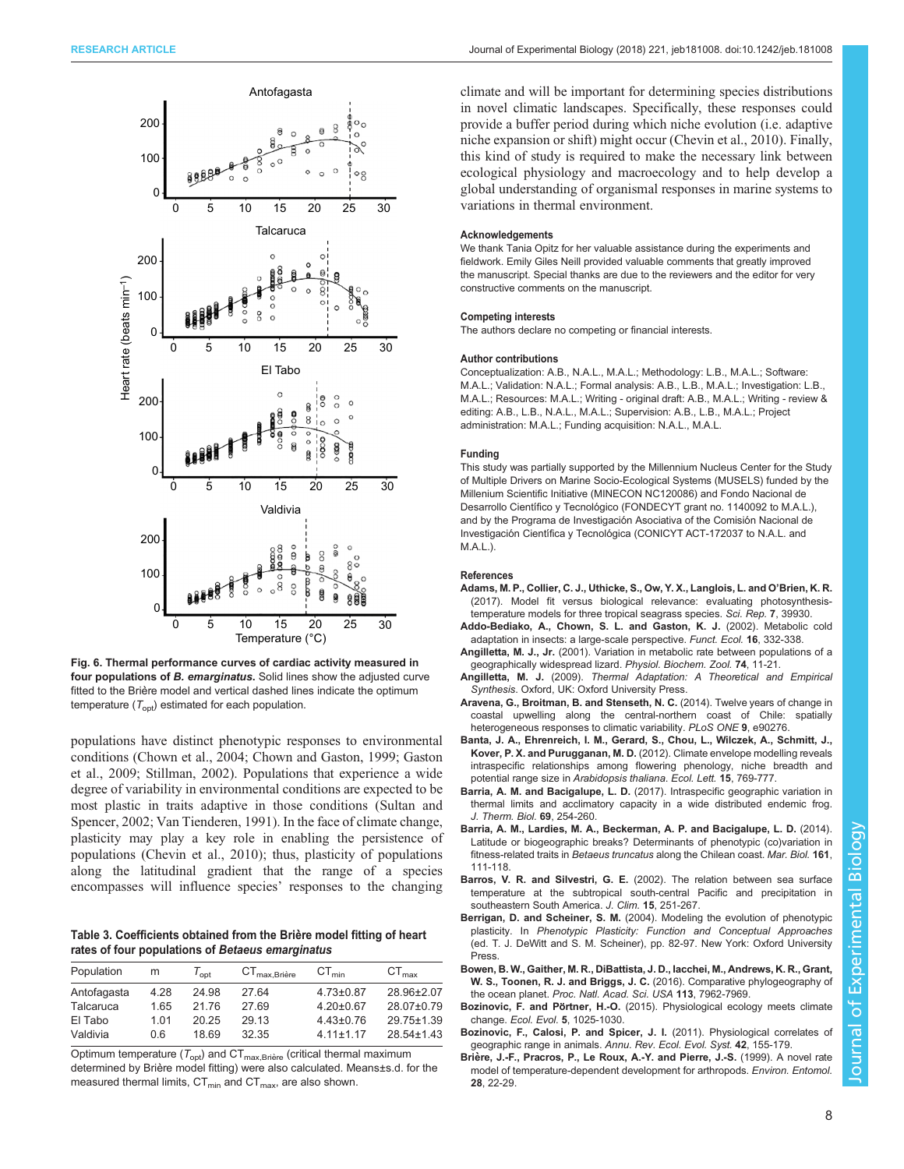<span id="page-7-0"></span>

Fig. 6. Thermal performance curves of cardiac activity measured in four populations of B. emarginatus. Solid lines show the adjusted curve fitted to the Brière model and vertical dashed lines indicate the optimum temperature  $(T_{\text{opt}})$  estimated for each population.

populations have distinct phenotypic responses to environmental conditions [\(Chown et al., 2004; Chown and Gaston, 1999](#page-8-0); [Gaston](#page-8-0) [et al., 2009;](#page-8-0) [Stillman, 2002\)](#page-9-0). Populations that experience a wide degree of variability in environmental conditions are expected to be most plastic in traits adaptive in those conditions [\(Sultan and](#page-9-0) [Spencer, 2002; Van Tienderen, 1991\)](#page-9-0). In the face of climate change, plasticity may play a key role in enabling the persistence of populations ([Chevin et al., 2010](#page-8-0)); thus, plasticity of populations along the latitudinal gradient that the range of a species encompasses will influence species' responses to the changing

Table 3. Coefficients obtained from the Brière model fitting of heart rates of four populations of Betaeus emarginatus

| Population  | m    | $I_{\text{opt}}$ | ${\rm CT}_{\rm max, Bri\`ere}$ | $CT_{min}$      | $CT_{\text{max}}$ |
|-------------|------|------------------|--------------------------------|-----------------|-------------------|
| Antofagasta | 4.28 | 24.98            | 27.64                          | $4.73 \pm 0.87$ | 28.96±2.07        |
| Talcaruca   | 1.65 | 2176             | 2769                           | $4.20 \pm 0.67$ | 28.07±0.79        |
| El Tabo     | 1.01 | 20 25            | 29 13                          | $4.43 \pm 0.76$ | 29.75±1.39        |
| Valdivia    | 0 6  | 1869             | 32 35                          | $411+117$       | 28.54±1.43        |

Optimum temperature ( $T_{\mathrm{opt}}$ ) and CT $_{\mathrm{max,Brie}$ e (critical thermal maximum determined by Brière model fitting) were also calculated. Means±s.d. for the measured thermal limits,  $CT_{min}$  and  $CT_{max}$ , are also shown.

climate and will be important for determining species distributions in novel climatic landscapes. Specifically, these responses could provide a buffer period during which niche evolution (i.e. adaptive niche expansion or shift) might occur ([Chevin et al., 2010\)](#page-8-0). Finally, this kind of study is required to make the necessary link between ecological physiology and macroecology and to help develop a global understanding of organismal responses in marine systems to variations in thermal environment.

#### Acknowledgements

We thank Tania Opitz for her valuable assistance during the experiments and fieldwork. Emily Giles Neill provided valuable comments that greatly improved the manuscript. Special thanks are due to the reviewers and the editor for very constructive comments on the manuscript.

#### Competing interests

The authors declare no competing or financial interests.

#### Author contributions

Conceptualization: A.B., N.A.L., M.A.L.; Methodology: L.B., M.A.L.; Software: M.A.L.; Validation: N.A.L.; Formal analysis: A.B., L.B., M.A.L.; Investigation: L.B., M.A.L.; Resources: M.A.L.; Writing - original draft: A.B., M.A.L.; Writing - review & editing: A.B., L.B., N.A.L., M.A.L.; Supervision: A.B., L.B., M.A.L.; Project administration: M.A.L.; Funding acquisition: N.A.L., M.A.L.

#### Funding

This study was partially supported by the Millennium Nucleus Center for the Study of Multiple Drivers on Marine Socio-Ecological Systems (MUSELS) funded by the Millenium Scientific Initiative (MINECON NC120086) and Fondo Nacional de Desarrollo Científico y Tecnológico (FONDECYT grant no. 1140092 to M.A.L.), and by the Programa de Investigación Asociativa of the Comisión Nacional de Investigación Científica y Tecnológica (CONICYT ACT-172037 to N.A.L. and M.A.L.).

#### References

- [Adams, M. P., Collier, C. J., Uthicke, S., Ow, Y. X., Langlois, L. and O](http://dx.doi.org/10.1038/srep39930)'Brien, K. R. [\(2017\). Model fit versus biological relevance: evaluating photosynthesis](http://dx.doi.org/10.1038/srep39930)[temperature models for three tropical seagrass species.](http://dx.doi.org/10.1038/srep39930) Sci. Rep. 7, 39930.
- [Addo-Bediako, A., Chown, S. L. and Gaston, K. J.](http://dx.doi.org/10.1046/j.1365-2435.2002.00634.x) (2002). Metabolic cold [adaptation in insects: a large-scale perspective.](http://dx.doi.org/10.1046/j.1365-2435.2002.00634.x) Funct. Ecol. 16, 332-338.
- Angilletta, M. J., Jr. [\(2001\). Variation in metabolic rate between populations of a](http://dx.doi.org/10.1086/319312) [geographically widespread lizard.](http://dx.doi.org/10.1086/319312) Physiol. Biochem. Zool. 74, 11-21.
- Angilletta, M. J. (2009). Thermal Adaptation: A Theoretical and Empirical Synthesis. Oxford, UK: Oxford University Press.
- [Aravena, G., Broitman, B. and Stenseth, N. C.](http://dx.doi.org/10.1371/journal.pone.0090276) (2014). Twelve years of change in [coastal upwelling along the central-northern coast of Chile: spatially](http://dx.doi.org/10.1371/journal.pone.0090276) [heterogeneous responses to climatic variability.](http://dx.doi.org/10.1371/journal.pone.0090276) PLoS ONE 9, e90276.
- [Banta, J. A., Ehrenreich, I. M., Gerard, S., Chou, L., Wilczek, A., Schmitt, J.,](http://dx.doi.org/10.1111/j.1461-0248.2012.01796.x) Kover, P. X. and Purugganan, M. D. [\(2012\). Climate envelope modelling reveals](http://dx.doi.org/10.1111/j.1461-0248.2012.01796.x) [intraspecific relationships among flowering phenology, niche breadth and](http://dx.doi.org/10.1111/j.1461-0248.2012.01796.x) [potential range size in](http://dx.doi.org/10.1111/j.1461-0248.2012.01796.x) Arabidopsis thaliana. Ecol. Lett. 15, 769-777.
- Barria, A. M. and Bacigalupe, L. D. [\(2017\). Intraspecific geographic variation in](http://dx.doi.org/10.1016/j.jtherbio.2017.08.010) [thermal limits and acclimatory capacity in a wide distributed endemic frog.](http://dx.doi.org/10.1016/j.jtherbio.2017.08.010) [J. Therm. Biol.](http://dx.doi.org/10.1016/j.jtherbio.2017.08.010) 69, 254-260.
- [Barria, A. M., Lardies, M. A., Beckerman, A. P. and Bacigalupe, L. D.](http://dx.doi.org/10.1007/s00227-013-2319-0) (2014). [Latitude or biogeographic breaks? Determinants of phenotypic \(co\)variation in](http://dx.doi.org/10.1007/s00227-013-2319-0) fitness-related traits in Betaeus truncatus [along the Chilean coast.](http://dx.doi.org/10.1007/s00227-013-2319-0) Mar. Biol. 161, [111-118.](http://dx.doi.org/10.1007/s00227-013-2319-0)
- Barros, V. R. and Silvestri, G. E. [\(2002\). The relation between sea surface](http://dx.doi.org/10.1175/1520-0442(2002)015%3C0251:TRBSST%3E2.0.CO;2) [temperature at the subtropical south-central Pacific and precipitation in](http://dx.doi.org/10.1175/1520-0442(2002)015%3C0251:TRBSST%3E2.0.CO;2) [southeastern South America.](http://dx.doi.org/10.1175/1520-0442(2002)015%3C0251:TRBSST%3E2.0.CO;2) J. Clim. 15, 251-267.
- Berrigan, D. and Scheiner, S. M. (2004). Modeling the evolution of phenotypic plasticity. In Phenotypic Plasticity: Function and Conceptual Approaches (ed. T. J. DeWitt and S. M. Scheiner), pp. 82-97. New York: Oxford University Press.
- [Bowen, B. W., Gaither, M. R., DiBattista, J. D., Iacchei, M., Andrews, K. R., Grant,](http://dx.doi.org/10.1073/pnas.1602404113) W. S., Toonen, R. J. and Briggs, J. C. [\(2016\). Comparative phylogeography of](http://dx.doi.org/10.1073/pnas.1602404113) the ocean planet. [Proc. Natl. Acad. Sci. USA](http://dx.doi.org/10.1073/pnas.1602404113) 113, 7962-7969.
- Bozinovic, F. and Pörtner, H.-O. [\(2015\). Physiological ecology meets climate](http://dx.doi.org/10.1002/ece3.1403) change. Ecol. Evol. 5[, 1025-1030.](http://dx.doi.org/10.1002/ece3.1403)
- [Bozinovic, F., Calosi, P. and Spicer, J. I.](http://dx.doi.org/10.1146/annurev-ecolsys-102710-145055) (2011). Physiological correlates of [geographic range in animals.](http://dx.doi.org/10.1146/annurev-ecolsys-102710-145055) Annu. Rev. Ecol. Evol. Syst. 42, 155-179.
- Brière, J.-F., Pracros, P., Le Roux, A.-Y. and Pierre, J.-S. (1999). A novel rate [model of temperature-dependent development for arthropods.](http://dx.doi.org/10.1093/ee/28.1.22) Environ. Entomol. 28[, 22-29.](http://dx.doi.org/10.1093/ee/28.1.22)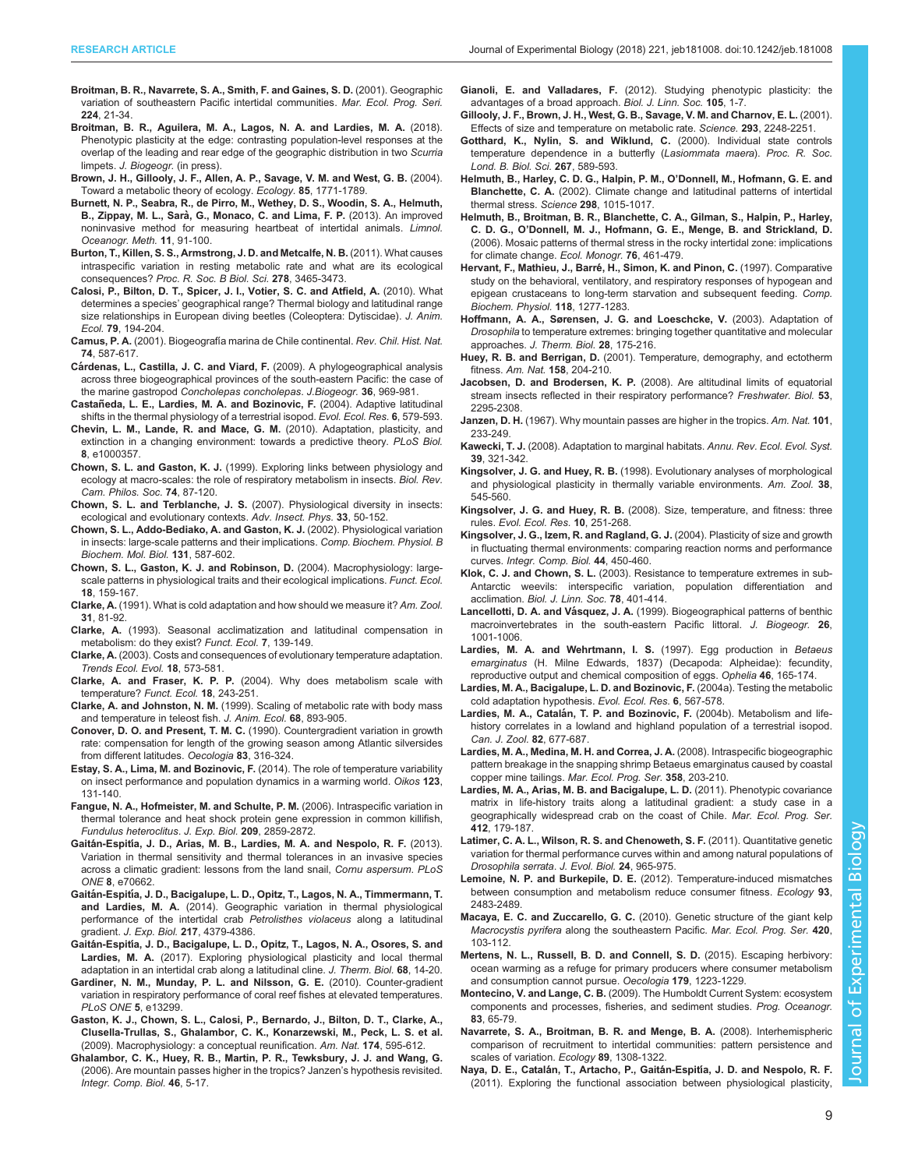- <span id="page-8-0"></span>[Broitman, B. R., Navarrete, S. A., Smith, F. and Gaines, S. D.](http://dx.doi.org/10.3354/meps224021) (2001). Geographic [variation of southeastern Pacific intertidal communities.](http://dx.doi.org/10.3354/meps224021) Mar. Ecol. Prog. Seri. 224[, 21-34.](http://dx.doi.org/10.3354/meps224021)
- [Broitman, B. R., Aguilera, M. A., Lagos, N. A. and Lardies, M. A.](http://dx.doi.org/10.1111/jbi.13406) (2018). [Phenotypic plasticity at the edge: contrasting population-level responses at the](http://dx.doi.org/10.1111/jbi.13406) [overlap of the leading and rear edge of the geographic distribution in two](http://dx.doi.org/10.1111/jbi.13406) Scurria limpets. [J. Biogeogr.](http://dx.doi.org/10.1111/jbi.13406) (in press).
- [Brown, J. H., Gillooly, J. F., Allen, A. P., Savage, V. M. and West, G. B.](http://dx.doi.org/10.1890/03-9000) (2004). [Toward a metabolic theory of ecology.](http://dx.doi.org/10.1890/03-9000) Ecology. 85, 1771-1789.
- [Burnett, N. P., Seabra, R., de Pirro, M., Wethey, D. S., Woodin, S. A., Helmuth,](http://dx.doi.org/10.4319/lom.2013.11.91) B., Zippay, M. L., Sarà, G., Monaco, C. and Lima, F. P. (2013). An improved [noninvasive method for measuring heartbeat of intertidal animals.](http://dx.doi.org/10.4319/lom.2013.11.91) Limnol. [Oceanogr. Meth.](http://dx.doi.org/10.4319/lom.2013.11.91) 11, 91-100.
- [Burton, T., Killen, S. S., Armstrong, J. D. and Metcalfe, N. B.](http://dx.doi.org/10.1098/rspb.2011.1778) (2011). What causes [intraspecific variation in resting metabolic rate and what are its ecological](http://dx.doi.org/10.1098/rspb.2011.1778) consequences? [Proc. R. Soc. B Biol. Sci.](http://dx.doi.org/10.1098/rspb.2011.1778) 278, 3465-3473.
- [Calosi, P., Bilton, D. T., Spicer, J. I., Votier, S. C. and Atfield, A.](http://dx.doi.org/10.1111/j.1365-2656.2009.01611.x) (2010). What determines a species' [geographical range? Thermal biology and latitudinal range](http://dx.doi.org/10.1111/j.1365-2656.2009.01611.x) [size relationships in European diving beetles \(Coleoptera: Dytiscidae\).](http://dx.doi.org/10.1111/j.1365-2656.2009.01611.x) J. Anim. Ecol. 79[, 194-204.](http://dx.doi.org/10.1111/j.1365-2656.2009.01611.x)
- Camus, P. A. (2001). Biogeografí[a marina de Chile continental.](http://dx.doi.org/10.4067/S0716-078X2001000300008) Rev. Chil. Hist. Nat. 74[, 587-617.](http://dx.doi.org/10.4067/S0716-078X2001000300008)
- Cá[rdenas, L., Castilla, J. C. and Viard, F.](http://dx.doi.org/10.1111/j.1365-2699.2008.02056.x) (2009). A phylogeographical analysis [across three biogeographical provinces of the south-eastern Pacific: the case of](http://dx.doi.org/10.1111/j.1365-2699.2008.02056.x) the marine gastropod [Concholepas concholepas](http://dx.doi.org/10.1111/j.1365-2699.2008.02056.x). J.Biogeogr. 36, 969-981.
- Castañeda, L. E., Lardies, M. A. and Bozinovic, F. (2004). Adaptive latitudinal shifts in the thermal physiology of a terrestrial isopod. Evol. Ecol. Res. 6, 579-593.
- [Chevin, L. M., Lande, R. and Mace, G. M.](http://dx.doi.org/10.1371/journal.pbio.1000357) (2010). Adaptation, plasticity, and [extinction in a changing environment: towards a predictive theory.](http://dx.doi.org/10.1371/journal.pbio.1000357) PLoS Biol. 8[, e1000357.](http://dx.doi.org/10.1371/journal.pbio.1000357)
- Chown, S. L. and Gaston, K. J. [\(1999\). Exploring links between physiology and](http://dx.doi.org/10.1017/S000632319800526X) [ecology at macro-scales: the role of respiratory metabolism in insects.](http://dx.doi.org/10.1017/S000632319800526X) Biol. Rev. [Cam. Philos. Soc.](http://dx.doi.org/10.1017/S000632319800526X) 74, 87-120.
- Chown, S. L. and Terblanche, J. S. [\(2007\). Physiological diversity in insects:](http://dx.doi.org/10.1016/S0065-2806(06)33002-0) [ecological and evolutionary contexts.](http://dx.doi.org/10.1016/S0065-2806(06)33002-0) Adv. Insect. Phys. 33, 50-152.
- [Chown, S. L., Addo-Bediako, A. and Gaston, K. J.](http://dx.doi.org/10.1016/S1096-4959(02)00017-9) (2002). Physiological variation [in insects: large-scale patterns and their implications.](http://dx.doi.org/10.1016/S1096-4959(02)00017-9) Comp. Biochem. Physiol. B [Biochem. Mol. Biol.](http://dx.doi.org/10.1016/S1096-4959(02)00017-9) 131, 587-602.
- [Chown, S. L., Gaston, K. J. and Robinson, D.](http://dx.doi.org/10.1111/j.0269-8463.2004.00825.x) (2004). Macrophysiology: large[scale patterns in physiological traits and their ecological implications.](http://dx.doi.org/10.1111/j.0269-8463.2004.00825.x) Funct. Ecol. 18[, 159-167.](http://dx.doi.org/10.1111/j.0269-8463.2004.00825.x)
- Clarke, A. [\(1991\). What is cold adaptation and how should we measure it?](http://dx.doi.org/10.1093/icb/31.1.81) Am. Zool. 31[, 81-92.](http://dx.doi.org/10.1093/icb/31.1.81)
- Clarke, A. [\(1993\). Seasonal acclimatization and latitudinal compensation in](http://dx.doi.org/10.2307/2389880) [metabolism: do they exist?](http://dx.doi.org/10.2307/2389880) Funct. Ecol. 7, 139-149.
- Clarke, A. [\(2003\). Costs and consequences of evolutionary temperature adaptation.](http://dx.doi.org/10.1016/j.tree.2003.08.007) [Trends Ecol. Evol.](http://dx.doi.org/10.1016/j.tree.2003.08.007) 18, 573-581.
- Clarke, A. and Fraser, K. P. P. [\(2004\). Why does metabolism scale with](http://dx.doi.org/10.1111/j.0269-8463.2004.00841.x) [temperature?](http://dx.doi.org/10.1111/j.0269-8463.2004.00841.x) Funct. Ecol. 18, 243-251.
- Clarke, A. and Johnston, N. M. [\(1999\). Scaling of metabolic rate with body mass](http://dx.doi.org/10.1046/j.1365-2656.1999.00337.x) [and temperature in teleost fish.](http://dx.doi.org/10.1046/j.1365-2656.1999.00337.x) J. Anim. Ecol. 68, 893-905.
- Conover, D. O. and Present, T. M. C. [\(1990\). Countergradient variation in growth](http://dx.doi.org/10.1007/BF00317554) [rate: compensation for length of the growing season among Atlantic silversides](http://dx.doi.org/10.1007/BF00317554) [from different latitudes.](http://dx.doi.org/10.1007/BF00317554) Oecologia 83, 316-324.
- [Estay, S. A., Lima, M. and Bozinovic, F.](http://dx.doi.org/10.1111/j.1600-0706.2013.00607.x) (2014). The role of temperature variability [on insect performance and population dynamics in a warming world.](http://dx.doi.org/10.1111/j.1600-0706.2013.00607.x) Oikos 123, [131-140.](http://dx.doi.org/10.1111/j.1600-0706.2013.00607.x)
- [Fangue, N. A., Hofmeister, M. and Schulte, P. M.](http://dx.doi.org/10.1242/jeb.02260) (2006). Intraspecific variation in [thermal tolerance and heat shock protein gene expression in common killifish,](http://dx.doi.org/10.1242/jeb.02260) [Fundulus heteroclitus](http://dx.doi.org/10.1242/jeb.02260). J. Exp. Biol. 209, 2859-2872.
- Gaitán-Espití[a, J. D., Arias, M. B., Lardies, M. A. and Nespolo, R. F.](http://dx.doi.org/10.1371/journal.pone.0070662) (2013). [Variation in thermal sensitivity and thermal tolerances in an invasive species](http://dx.doi.org/10.1371/journal.pone.0070662) [across a climatic gradient: lessons from the land snail,](http://dx.doi.org/10.1371/journal.pone.0070662) Cornu aspersum. PLoS ONE 8[, e70662.](http://dx.doi.org/10.1371/journal.pone.0070662)
- Gaitán-Espití[a, J. D., Bacigalupe, L. D., Opitz, T., Lagos, N. A., Timmermann, T.](http://dx.doi.org/10.1242/jeb.108217) and Lardies, M. A. [\(2014\). Geographic variation in thermal physiological](http://dx.doi.org/10.1242/jeb.108217) [performance of the intertidal crab](http://dx.doi.org/10.1242/jeb.108217) Petrolisthes violaceus along a latitudinal gradient. J. Exp. Biol. 217[, 4379-4386.](http://dx.doi.org/10.1242/jeb.108217)
- Gaitán-Espití[a, J. D., Bacigalupe, L. D., Opitz, T., Lagos, N. A., Osores, S. and](http://dx.doi.org/10.1016/j.jtherbio.2017.02.011) Lardies, M. A. [\(2017\). Exploring physiological plasticity and local thermal](http://dx.doi.org/10.1016/j.jtherbio.2017.02.011) [adaptation in an intertidal crab along a latitudinal cline.](http://dx.doi.org/10.1016/j.jtherbio.2017.02.011) J. Therm. Biol. 68, 14-20.
- [Gardiner, N. M., Munday, P. L. and Nilsson, G. E.](http://dx.doi.org/10.1371/journal.pone.0013299) (2010). Counter-gradient [variation in respiratory performance of coral reef fishes at elevated temperatures.](http://dx.doi.org/10.1371/journal.pone.0013299) [PLoS ONE](http://dx.doi.org/10.1371/journal.pone.0013299) 5, e13299.
- [Gaston, K. J., Chown, S. L., Calosi, P., Bernardo, J., Bilton, D. T., Clarke, A.,](http://dx.doi.org/10.1086/605982) [Clusella-Trullas, S., Ghalambor, C. K., Konarzewski, M., Peck, L. S. et al.](http://dx.doi.org/10.1086/605982) [\(2009\). Macrophysiology: a conceptual reunification.](http://dx.doi.org/10.1086/605982) Am. Nat. 174, 595-612.
- [Ghalambor, C. K., Huey, R. B., Martin, P. R., Tewksbury, J. J. and Wang, G.](http://dx.doi.org/10.1093/icb/icj003) [\(2006\). Are mountain passes higher in the tropics? Janzen](http://dx.doi.org/10.1093/icb/icj003)'s hypothesis revisited. [Integr. Comp. Biol.](http://dx.doi.org/10.1093/icb/icj003) 46, 5-17.

Gianoli, E. and Valladares, F. [\(2012\). Studying phenotypic plasticity: the](http://dx.doi.org/10.1111/j.1095-8312.2011.01793.x) [advantages of a broad approach.](http://dx.doi.org/10.1111/j.1095-8312.2011.01793.x) Biol. J. Linn. Soc. 105, 1-7.

- [Gillooly, J. F., Brown, J. H., West, G. B., Savage, V. M. and Charnov, E. L.](http://dx.doi.org/10.1126/science.1061967) (2001). [Effects of size and temperature on metabolic rate.](http://dx.doi.org/10.1126/science.1061967) Science. 293, 2248-2251.
- [Gotthard, K., Nylin, S. and Wiklund, C.](http://dx.doi.org/10.1098/rspb.2000.1042) (2000). Individual state controls [temperature dependence in a butterfly \(](http://dx.doi.org/10.1098/rspb.2000.1042)Lasiommata maera). Proc. R. Soc. [Lond. B. Biol. Sci.](http://dx.doi.org/10.1098/rspb.2000.1042) 267, 589-593.
- [Helmuth, B., Harley, C. D. G., Halpin, P. M., O](http://dx.doi.org/10.1126/science.1076814)'Donnell, M., Hofmann, G. E. and Blanchette, C. A. [\(2002\). Climate change and latitudinal patterns of intertidal](http://dx.doi.org/10.1126/science.1076814) [thermal stress.](http://dx.doi.org/10.1126/science.1076814) Science 298, 1015-1017.
- [Helmuth, B., Broitman, B. R., Blanchette, C. A., Gilman, S., Halpin, P., Harley,](http://dx.doi.org/10.1890/0012-9615(2006)076[0461:MPOTSI]2.0.CO;2) C. D. G., O'[Donnell, M. J., Hofmann, G. E., Menge, B. and Strickland, D.](http://dx.doi.org/10.1890/0012-9615(2006)076[0461:MPOTSI]2.0.CO;2) [\(2006\). Mosaic patterns of thermal stress in the rocky intertidal zone: implications](http://dx.doi.org/10.1890/0012-9615(2006)076[0461:MPOTSI]2.0.CO;2) [for climate change.](http://dx.doi.org/10.1890/0012-9615(2006)076[0461:MPOTSI]2.0.CO;2) Ecol. Monogr. 76, 461-479.
- Hervant, F., Mathieu, J., Barré, H., Simon, K. and Pinon, C. (1997). Comparative [study on the behavioral, ventilatory, and respiratory responses of hypogean and](http://dx.doi.org/10.1016/S0300-9629(97)00047-9) [epigean crustaceans to long-term starvation and subsequent feeding.](http://dx.doi.org/10.1016/S0300-9629(97)00047-9) Comp. [Biochem. Physiol.](http://dx.doi.org/10.1016/S0300-9629(97)00047-9) 118, 1277-1283.
- [Hoffmann, A. A., Sørensen, J. G. and Loeschcke, V.](http://dx.doi.org/10.1016/S0306-4565(02)00057-8) (2003). Adaptation of Drosophila [to temperature extremes: bringing together quantitative and molecular](http://dx.doi.org/10.1016/S0306-4565(02)00057-8) approaches. [J. Therm. Biol.](http://dx.doi.org/10.1016/S0306-4565(02)00057-8) 28, 175-216.
- Huey, R. B. and Berrigan, D. [\(2001\). Temperature, demography, and ectotherm](http://dx.doi.org/10.1086/321314) fitness. Am. Nat. 158[, 204-210.](http://dx.doi.org/10.1086/321314)
- Jacobsen, D. and Brodersen, K. P. (2008). Are altitudinal limits of equatorial stream insects reflected in their respiratory performance? Freshwater. Biol. 53, 2295-2308.
- Janzen, D. H. [\(1967\). Why mountain passes are higher in the tropics.](http://dx.doi.org/10.1086/282487) Am. Nat. 101, [233-249.](http://dx.doi.org/10.1086/282487)
- Kawecki, T. J. [\(2008\). Adaptation to marginal habitats.](http://dx.doi.org/10.1146/annurev.ecolsys.38.091206.095622) Annu. Rev. Ecol. Evol. Syst. 39[, 321-342.](http://dx.doi.org/10.1146/annurev.ecolsys.38.091206.095622)
- Kingsolver, J. G. and Huey, R. B. [\(1998\). Evolutionary analyses of morphological](http://dx.doi.org/10.1093/icb/38.3.545) [and physiological plasticity in thermally variable environments.](http://dx.doi.org/10.1093/icb/38.3.545) Am. Zool. 38, [545-560.](http://dx.doi.org/10.1093/icb/38.3.545)
- Kingsolver, J. G. and Huey, R. B. [\(2008\). Size, temperature, and fitness: three](http://dx.doi.org/10.1111/j.1365-2427.2008.02050.x) rules. [Evol. Ecol. Res.](http://dx.doi.org/10.1111/j.1365-2427.2008.02050.x) 10, 251-268.
- [Kingsolver, J. G., Izem, R. and Ragland, G. J.](http://dx.doi.org/10.1093/icb/44.6.450) (2004). Plasticity of size and growth [in fluctuating thermal environments: comparing reaction norms and performance](http://dx.doi.org/10.1093/icb/44.6.450) curves. [Integr. Comp. Biol.](http://dx.doi.org/10.1093/icb/44.6.450) 44, 450-460.
- Klok, C. J. and Chown, S. L. [\(2003\). Resistance to temperature extremes in sub-](http://dx.doi.org/10.1046/j.1095-8312.2003.00154.x)[Antarctic weevils: interspecific variation, population differentiation and](http://dx.doi.org/10.1046/j.1095-8312.2003.00154.x) acclimation. [Biol. J. Linn. Soc.](http://dx.doi.org/10.1046/j.1095-8312.2003.00154.x) 78, 401-414.
- Lancellotti, D. A. and Vásquez, J. A. [\(1999\). Biogeographical patterns of benthic](http://dx.doi.org/10.1046/j.1365-2699.1999.00344.x) [macroinvertebrates in the south-eastern Pacific littoral.](http://dx.doi.org/10.1046/j.1365-2699.1999.00344.x) J. Biogeogr. 26, [1001-1006.](http://dx.doi.org/10.1046/j.1365-2699.1999.00344.x)
- [Lardies, M. A. and Wehrtmann, I. S.](http://dx.doi.org/10.1080/00785326.1997.10432582) (1997). Egg production in Betaeus emarginatus [\(H. Milne Edwards, 1837\) \(Decapoda: Alpheidae\): fecundity,](http://dx.doi.org/10.1080/00785326.1997.10432582) [reproductive output and chemical composition of eggs.](http://dx.doi.org/10.1080/00785326.1997.10432582) Ophelia 46, 165-174.
- Lardies, M. A., Bacigalupe, L. D. and Bozinovic, F. (2004a). Testing the metabolic cold adaptation hypothesis. Evol. Ecol. Res. 6, 567-578.
- Lardies, M. A., Catalán, T. P. and Bozinovic, F. [\(2004b\). Metabolism and life](http://dx.doi.org/10.1139/z04-033)[history correlates in a lowland and highland population of a terrestrial isopod.](http://dx.doi.org/10.1139/z04-033) [Can. J. Zool.](http://dx.doi.org/10.1139/z04-033) 82, 677-687.
- [Lardies, M. A., Medina, M. H. and Correa, J. A.](http://dx.doi.org/10.3354/meps07347) (2008). Intraspecific biogeographic [pattern breakage in the snapping shrimp Betaeus emarginatus caused by coastal](http://dx.doi.org/10.3354/meps07347) copper mine tailings. [Mar. Ecol. Prog. Ser.](http://dx.doi.org/10.3354/meps07347) 358, 203-210.
- [Lardies, M. A., Arias, M. B. and Bacigalupe, L. D.](http://dx.doi.org/10.3354/meps08694) (2011). Phenotypic covariance [matrix in life-history traits along a latitudinal gradient: a study case in a](http://dx.doi.org/10.3354/meps08694) [geographically widespread crab on the coast of Chile.](http://dx.doi.org/10.3354/meps08694) Mar. Ecol. Prog. Ser. 412[, 179-187.](http://dx.doi.org/10.3354/meps08694)
- [Latimer, C. A. L., Wilson, R. S. and Chenoweth, S. F.](http://dx.doi.org/10.1111/j.1420-9101.2011.02227.x) (2011). Quantitative genetic [variation for thermal performance curves within and among natural populations of](http://dx.doi.org/10.1111/j.1420-9101.2011.02227.x) [Drosophila serrata](http://dx.doi.org/10.1111/j.1420-9101.2011.02227.x). J. Evol. Biol. 24, 965-975.
- Lemoine, N. P. and Burkepile, D. E. [\(2012\). Temperature-induced mismatches](http://dx.doi.org/10.1890/12-0375.1) [between consumption and metabolism reduce consumer fitness.](http://dx.doi.org/10.1890/12-0375.1) Ecology 93, [2483-2489.](http://dx.doi.org/10.1890/12-0375.1)
- Macaya, E. C. and Zuccarello, G. C. [\(2010\). Genetic structure of the giant kelp](http://dx.doi.org/10.3354/meps08893) Macrocystis pyrifera [along the southeastern Pacific.](http://dx.doi.org/10.3354/meps08893) Mar. Ecol. Prog. Ser. 420, [103-112.](http://dx.doi.org/10.3354/meps08893)
- [Mertens, N. L., Russell, B. D. and Connell, S. D.](http://dx.doi.org/10.1007/s00442-015-3438-8) (2015). Escaping herbivory: [ocean warming as a refuge for primary producers where consumer metabolism](http://dx.doi.org/10.1007/s00442-015-3438-8) [and consumption cannot pursue.](http://dx.doi.org/10.1007/s00442-015-3438-8) Oecologia 179, 1223-1229.
- Montecino, V. and Lange, C. B. [\(2009\). The Humboldt Current System: ecosystem](http://dx.doi.org/10.1016/j.pocean.2009.07.041) [components and processes, fisheries, and sediment studies.](http://dx.doi.org/10.1016/j.pocean.2009.07.041) Prog. Oceanogr. 83[, 65-79.](http://dx.doi.org/10.1016/j.pocean.2009.07.041)
- [Navarrete, S. A., Broitman, B. R. and Menge, B. A.](http://dx.doi.org/10.1890/07-0728.1) (2008). Interhemispheric [comparison of recruitment to intertidal communities: pattern persistence and](http://dx.doi.org/10.1890/07-0728.1) [scales of variation.](http://dx.doi.org/10.1890/07-0728.1) Ecology 89, 1308-1322.
- Naya, D. E., Catalán, T., Artacho, P., Gaitán-Espitía, J. D. and Nespolo, R. F. (2011). Exploring the functional association between physiological plasticity,